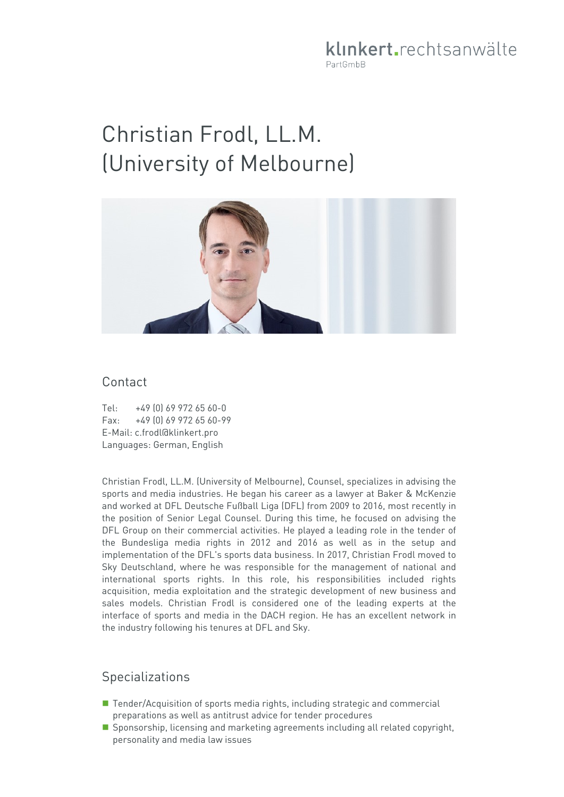klinkert.rechtsanwälte PartGmbB

# Christian Frodl, LL.M. (University of Melbourne)



#### Contact

Tel: +49 (0) 69 972 65 60-0 Fax: +49 (0) 69 972 65 60-99 E-Mail: c.frodl@klinkert.pro Languages: German, English

Christian Frodl, LL.M. (University of Melbourne), Counsel, specializes in advising the sports and media industries. He began his career as a lawyer at Baker & McKenzie and worked at DFL Deutsche Fußball Liga (DFL) from 2009 to 2016, most recently in the position of Senior Legal Counsel. During this time, he focused on advising the DFL Group on their commercial activities. He played a leading role in the tender of the Bundesliga media rights in 2012 and 2016 as well as in the setup and implementation of the DFL's sports data business. In 2017, Christian Frodl moved to Sky Deutschland, where he was responsible for the management of national and international sports rights. In this role, his responsibilities included rights acquisition, media exploitation and the strategic development of new business and sales models. Christian Frodl is considered one of the leading experts at the interface of sports and media in the DACH region. He has an excellent network in the industry following his tenures at DFL and Sky.

#### **Specializations**

- Tender/Acquisition of sports media rights, including strategic and commercial preparations as well as antitrust advice for tender procedures
- **Sponsorship, licensing and marketing agreements including all related copyright,** personality and media law issues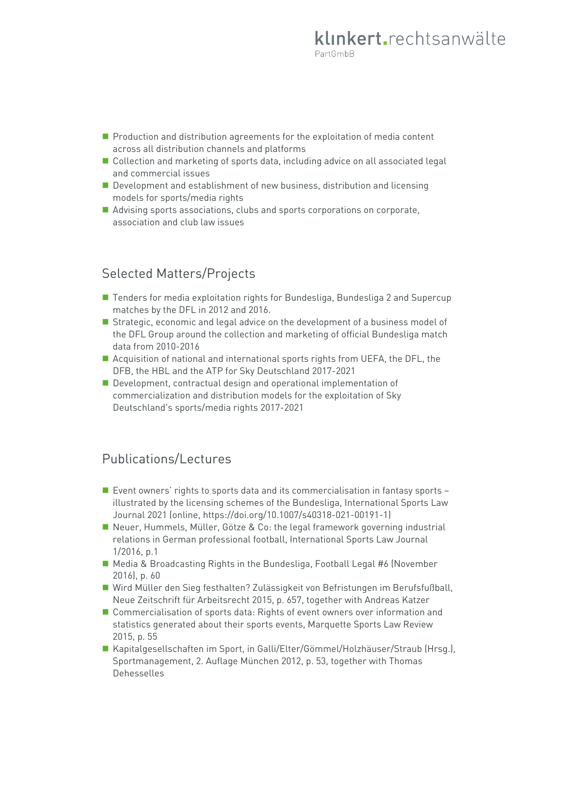- **Production and distribution agreements for the exploitation of media content** across all distribution channels and platforms
- Collection and marketing of sports data, including advice on all associated legal and commercial issues
- Development and establishment of new business, distribution and licensing models for sports/media rights
- Advising sports associations, clubs and sports corporations on corporate, association and club law issues

## Selected Matters/Projects

- Tenders for media exploitation rights for Bundesliga, Bundesliga 2 and Supercup matches by the DFL in 2012 and 2016.
- Strategic, economic and legal advice on the development of a business model of the DFL Group around the collection and marketing of official Bundesliga match data from 2010-2016
- Acquisition of national and international sports rights from UEFA, the DFL, the DFB, the HBL and the ATP for Sky Deutschland 2017-2021
- Development, contractual design and operational implementation of commercialization and distribution models for the exploitation of Sky Deutschland's sports/media rights 2017-2021

## Publications/Lectures

- Event owners' rights to sports data and its commercialisation in fantasy sports illustrated by the licensing schemes of the Bundesliga, International Sports Law Journal 2021 (online, [https://doi.org/10.1007/s40318-021-00191-1\)](https://doi.org/10.1007/s40318-021-00191-1)
- Neuer, Hummels, Müller, Götze & Co: the legal framework governing industrial relations in German professional football, International Sports Law Journal 1/2016, p.1
- Media & Broadcasting Rights in the Bundesliga, Football Legal #6 (November 2016), p. 60
- Wird Müller den Sieg festhalten? Zulässigkeit von Befristungen im Berufsfußball, Neue Zeitschrift für Arbeitsrecht 2015, p. 657, together with Andreas Katzer
- Commercialisation of sports data: Rights of event owners over information and statistics generated about their sports events, Marquette Sports Law Review 2015, p. 55
- Kapitalgesellschaften im Sport, in Galli/Elter/Gömmel/Holzhäuser/Straub (Hrsg.), Sportmanagement, 2. Auflage München 2012, p. 53, together with Thomas Dehesselles